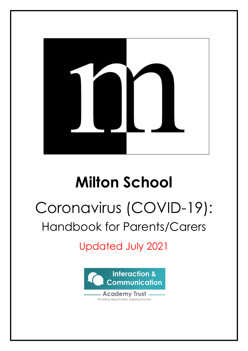

## **Milton School**

# Coronavirus (COVID-19):

### Handbook for Parents/Carers

Updated July 2021

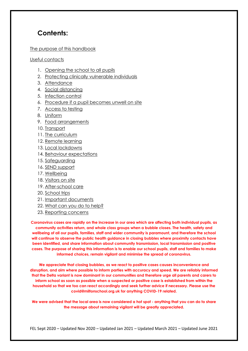### **Contents:**

#### [The purpose of this handbook](#page-2-0)

[Useful contacts](#page-2-1)

- 1. [Opening the school to all pupils](#page-3-0)
- 2. Protecting [clinically vulnerable individuals](#page-3-1)
- 3. [Attendance](#page-3-2)
- 4. [Social distancing](#page-4-0)
- 5. [Infection control](#page-6-0)
- 6. [Procedure if a pupil becomes unwell on site](#page-8-0)
- 7. [Access to testing](#page-10-0)
- 8. [Uniform](#page-10-1)
- 9. [Food arrangements](#page-10-2)
- 10. [Transport](#page-10-3)
- 11. [The curriculum](#page-11-0)
- 12. [Remote learning](#page-11-1)
- 13. [Local lockdowns](#page-13-0)
- 14. [Behaviour expectations](#page-13-1)
- 15. [Safeguarding](#page-13-2)
- 16. [SEND support](#page-14-0)
- 17. Wellbeing
- 18. [Visitors on site](#page-14-1)
- 19. [After-school care](#page-14-2)
- 20. [School trips](#page-14-3)
- 21. [Important documents](#page-14-4)
- 22. [What can you do to help?](#page-15-0)
- 23. [Reporting concerns](#page-15-1)

**Coronavirus cases are rapidly on the increase in our area which are affecting both individual pupils, as community activities return, and whole class groups when a bubble closes. The health, safety and wellbeing of all our pupils, families, staff and wider community is paramount, and therefore the school will continue to observe the public health guidance in closing bubbles where proximity contacts have been identified, and share information about community transmission, local transmission and positive** cases. The purpose of sharing this information is to enable our school pupils, staff and families to make **informed choices, remain vigilant and minimise the spread of coronavirus.**

**We appreciate that closing bubbles, as we react to positive cases causes inconvenience and disruption, and aim where possible to inform parties with accuracy and speed. We are reliably informed** that the Delta variant is now dominant in our communities and therefore urge all parents and carers to **inform school as soon as possible when a suspected or positive case is established from within the household so that we too can react accordingly and seek further advice if necessary. Please use the covid@miltonschool.org.uk for anything COVID-19 related.**

We were advised that the local area is now considered a hot spot - anything that you can do to share **the message about remaining vigilant will be greatly appreciated.**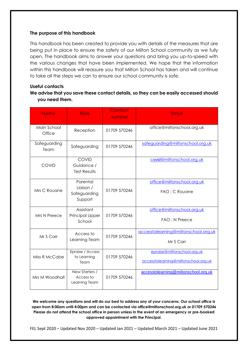#### <span id="page-2-0"></span>**The purpose of this handbook**

This handbook has been created to provide you with details of the measures that are being put in place to ensure the safety of our Milton School community as we fully open. The handbook aims to answer your questions and bring you up-to-speed with the various changes that have been implemented. We hope that the information within this handbook will reassure you that Milton School has taken and will continue to take all the steps we can to ensure our school community is safe.

#### <span id="page-2-1"></span>**Useful contacts**

#### **We advise that you save these contact details, so they can be easily accessed should you need them.**

| <b>Name</b>           | Role                                             | Contact<br>number | Email                                                               |
|-----------------------|--------------------------------------------------|-------------------|---------------------------------------------------------------------|
| Main School<br>Office | Reception                                        | 01709 570246      | office@miltonschool.org.uk                                          |
| Safeguarding<br>Team  | Safeguarding                                     | 01709 570246      | safeguarding@miltonschool.org.uk                                    |
| <b>COVID</b>          | COVID<br>Guidance /<br><b>Test Results</b>       |                   | covid@miltonschool.org.uk                                           |
| Mrs C Rouane          | Parental<br>Liaison /<br>Safeguarding<br>Support | 01709 570246      | office@miltonschool.org.uk<br>FAO: C Rouane                         |
| Mrs N Preece          | Assistant<br><b>Principal Upper</b><br>School    | 01709 570246      | office@miltonschool.org.uk<br><b>FAO: N Preece</b>                  |
| Mr S Carr             | Access to<br>Learning Team                       | 01709 570246      | accesstolearning@miltonschool.org.uk<br>Mr S Carr                   |
| Miss R McCabe         | Epraise / Access<br>to Learning<br>Team          | 01709 570246      | epraise@miltonschool.org.uk<br>accesstolearning@miltonschool.org.uk |
| Mrs M Woodhall        | New Starters /<br>Access to<br>Learning Team     | 01709 570246      | accesstolearning@miltonschool.org.uk                                |

**We welcome any questions and will do our best to address any of your concerns. Our school office is open from 8:00am until 4:00pm and can be contacted via office@miltonschool.org.uk or 01709 570246 Please do not attend the school office in person unless in the event of an emergency or pre-booked approved appointment with the Principal.**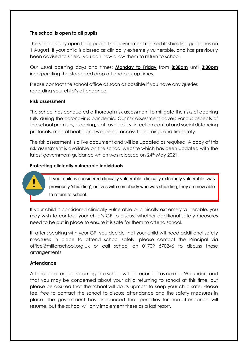#### <span id="page-3-0"></span>**The school is open to all pupils**

The school is fully open to all pupils. The government relaxed its shielding guidelines on 1 August. If your child is classed as clinically extremely vulnerable, and has previously been advised to shield, you can now allow them to return to school.

Our usual opening days and times: **Monday to Friday** from **8:30am** until **3:00pm**  incorporating the staggered drop off and pick up times.

Please contact the school office as soon as possible if you have any queries regarding your child's attendance.

#### **Risk assessment**

The school has conducted a thorough risk assessment to mitigate the risks of opening fully during the coronavirus pandemic. Our risk assessment covers various aspects of the school premises, cleaning, staff availability, infection control and social distancing protocols, mental health and wellbeing, access to learning, and fire safety.

The risk assessment is a live document and will be updated as required. A copy of this risk assessment is available on the school website which has been updated with the latest government guidance which was released on 24<sup>th</sup> May 2021.

#### <span id="page-3-1"></span>**Protecting clinically vulnerable individuals**

If your child is considered clinically vulnerable, clinically extremely vulnerable, was previously 'shielding', or lives with somebody who was shielding, they are now able to return to school.

If your child is considered clinically vulnerable or clinically extremely vulnerable, you may wish to contact your child's GP to discuss whether additional safety measures need to be put in place to ensure it is safe for them to attend school.

If, after speaking with your GP, you decide that your child will need additional safety measures in place to attend school safely, please contact the Principal via [office@miltonschool.org.uk](mailto:office@miltonschool.org.uk) or call school on 01709 570246 to discuss these arrangements.

#### <span id="page-3-2"></span>**Attendance**

Attendance for pupils coming into school will be recorded as normal. We understand that you may be concerned about your child returning to school at this time, but please be assured that the school will do its upmost to keep your child safe. Please feel free to contact the school to discuss attendance and the safety measures in place. The government has announced that penalties for non-attendance will resume, but the school will only implement these as a last resort.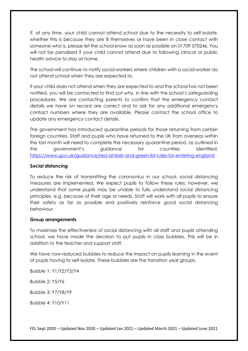If, at any time, your child cannot attend school due to the necessity to self-isolate, whether this is because they are ill themselves or have been in close contact with someone who is, please let the school know as soon as possible on 01709 570246. You will not be penalised if your child cannot attend due to following clinical or public health advice to stay at home.

The school will continue to notify social workers where children with a social worker do not attend school when they are expected to.

If your child does not attend when they are expected to and the school has not been notified, you will be contacted to find out why, in line with the school's safeguarding procedures. We are contacting parents to confirm that the emergency contact details we have on record are correct and to ask for any additional emergency contact numbers where they are available. Please contact the school office to update any emergency contact details.

The government has introduced quarantine periods for those returning from certain foreign countries. Staff and pupils who have returned to the UK from overseas within the last month will need to complete the necessary quarantine period, as outlined in the government's [guidance](https://www.gov.uk/guidance/coronavirus-covid-19-travel-corridors) for countries identified. <https://www.gov.uk/guidance/red-amber-and-green-list-rules-for-entering-england>

#### <span id="page-4-0"></span>**Social distancing**

To reduce the risk of transmitting the coronavirus in our school, social distancing measures are implemented. We expect pupils to follow these rules; however, we understand that some pupils may be unable to fully understand social distancing principles, e.g. because of their age or needs. Staff will work with all pupils to ensure their safety as far as possible and positively reinforce good social distancing behaviour.

#### **Group arrangements**

To maximise the effectiveness of social distancing with all staff and pupils attending school, we have made the decision to put pupils in class bubbles. This will be in addition to the teacher and support staff.

We have now reduced bubbles to reduce the impact on pupils learning in the event of pupils having to self-isolate. These bubbles are the transition year groups.

Bubble 1: Y1/Y2/Y3/Y4 Bubble 2: Y5/Y6 Bubble 3: Y7/Y8/Y9 Bubble 4: Y10/Y11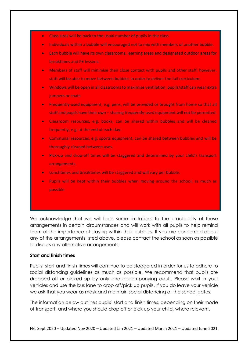- Class sizes will be back to the usual number of pupils in the class
- Individuals within a bubble will encouraged not to mix with members of another bubble.
- Each bubble will have its own classrooms, learning areas and designated outdoor areas for breaktimes and PE lessons.
- Members of staff will minimise their close contact with pupils and other staff; however, staff will be able to move between bubbles in order to deliver the full curriculum.
- Windows will be open in all classrooms to maximise ventilation, pupils/staff can wear extra jumpers or coats
- Frequently-used equipment, e.g. pens, will be provided or brought from home so that all staff and pupils have their own – sharing frequently-used equipment will not be permitted.
- Classroom resources, e.g. books, can be shared within bubbles and will be cleaned frequently, e.g. at the end of each day.
- Communal resources, e.g. sports equipment, can be shared between bubbles and will be thoroughly cleaned between uses.
- Pick-up and drop-off times will be staggered and determined by your child's transport arrangements
- Lunchtimes and breaktimes will be staggered and will vary per bubble.
- Pupils will be kept within their bubbles when moving around the school, as much as possible

We acknowledge that we will face some limitations to the practicality of these arrangements in certain circumstances and will work with all pupils to help remind them of the importance of staying within their bubbles. If you are concerned about any of the arrangements listed above, please contact the school as soon as possible to discuss any alternative arrangements.

#### **Start and finish times**

Pupils' start and finish times will continue to be staggered in order for us to adhere to social distancing guidelines as much as possible. We recommend that pupils are dropped off or picked up by only one accompanying adult. Please wait in your vehicles and use the bus lane to drop off/pick up pupils. If you do leave your vehicle we ask that you wear as mask and maintain social distancing at the school gates.

The information below outlines pupils' start and finish times, depending on their mode of transport, and where you should drop off or pick up your child, where relevant.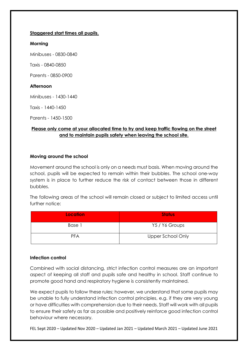#### **Staggered start times all pupils.**

#### **Morning**

Minibuses - 0830-0840

Taxis - 0840-0850

Parents - 0850-0900

#### **Afternoon**

Minibuses - 1430-1440

Taxis - 1440-1450

Parents - 1450-1500

#### **Please only come at your allocated time to try and keep traffic flowing on the street and to maintain pupils safety when leaving the school site.**

#### **Moving around the school**

Movement around the school is only on a needs must basis. When moving around the school, pupils will be expected to remain within their bubbles. The school one-way system is in place to further reduce the risk of contact between those in different bubbles.

The following areas of the school will remain closed or subject to limited access until further notice:

| <b>Location</b> | <b>Status</b>     |
|-----------------|-------------------|
| Base 1          | Y5 / Y6 Groups    |
| <b>PFA</b>      | Upper School Only |

#### <span id="page-6-0"></span>**Infection control**

Combined with social distancing, strict infection control measures are an important aspect of keeping all staff and pupils safe and healthy in school. Staff continue to promote good hand and respiratory hygiene is consistently maintained.

We expect pupils to follow these rules; however, we understand that some pupils may be unable to fully understand infection control principles, e.g. if they are very young or have difficulties with comprehension due to their needs. Staff will work with all pupils to ensure their safety as far as possible and positively reinforce good infection control behaviour where necessary.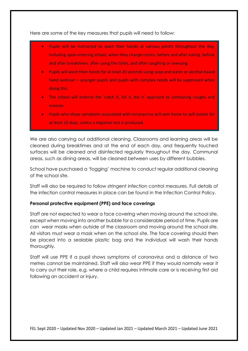Here are some of the key measures that pupils will need to follow:

- Pupils will be instructed to wash their hands at various points throughout the day, including upon entering school, when they change rooms, before and after eating, before and after breaktimes, after using the toilet, and after coughing or sneezing.
- Pupils will wash their hands for at least 20 seconds using soap and water or alcohol-based hand sanitiser – younger pupils and pupils with complex needs will be supervised when doing this.
- The school will enforce the 'catch it, kill it, bin it' approach to containing coughs and sneezes.
- Pupils who show symptoms associated with coronavirus will sent home to self-isolate for at least 10 days, unless a negative test is produced.

We are also carrying out additional cleaning. Classrooms and learning areas will be cleaned during breaktimes and at the end of each day, and frequently touched surfaces will be cleaned and disinfected regularly throughout the day. Communal areas, such as dining areas, will be cleaned between uses by different bubbles.

School have purchased a 'fogging' machine to conduct regular additional cleaning of the school site.

Staff will also be required to follow stringent infection control measures. Full details of the infection control measures in place can be found in the Infection Control Policy.

#### **Personal protective equipment (PPE) and face coverings**

Staff are not expected to wear a face covering when moving around the school site, except when moving into another bubble for a considerable period of time. Pupils are can wear masks when outside of the classroom and moving around the school site. All visitors must wear a mask when on the school site. The face covering should then be placed into a sealable plastic bag and the individual will wash their hands thoroughly.

Staff will use PPE if a pupil shows symptoms of coronavirus and a distance of two metres cannot be maintained. Staff will also wear PPE if they would normally wear it to carry out their role, e.g. where a child requires intimate care or is receiving first aid following an accident or injury.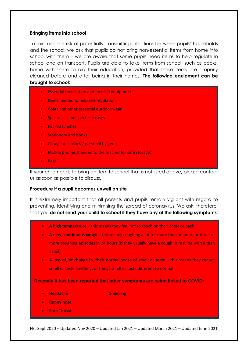#### **Bringing items into school**

To minimise the risk of potentially transmitting infections between pupils' households and the school, we ask that pupils do not bring non-essential items from home into school with them – we are aware that some pupils need items to help regulate in school and on transport. Pupils are able to take items from school, such as books, home with them to aid their education, provided that these items are properly cleaned before and after being in their homes. **The following equipment can be brought to school:**

- Essential medication and medical equipment
- Items needed to help self-regulation
- Coats and other essential outdoor wear
- Spectacles and spectacle cases
- Packed lunches
- **Stationery and books**
- Change of clothes / personal hygiene
- Mobile phones (handed to the teacher for safe storage)
- Bags

If your child needs to bring an item to school that is not listed above, please contact us as soon as possible to discuss.

#### <span id="page-8-0"></span>**Procedure if a pupil becomes unwell on site**

It is extremely important that all parents and pupils remain vigilant with regard to preventing, identifying and minimising the spread of coronavirus. We ask, therefore, that you **do not send your child to school if they have any of the following symptoms**:

- **A high temperature** this means they feel hot to touch on their chest or back
- **A new, continuous cough** this means coughing a lot for more than an hour, or three or more coughing episodes in 24 hours (if they usually have a cough, it may be worse than usual)
- **A loss of, or change in, their normal sense of smell or taste** this means they cannot smell or taste anything, or things smell or taste different to normal

**Recently it has been reported that other symptoms are being linked to COVID:** 

- **Headache Sneezing**
- **Runny nose**
- **Sore Throat**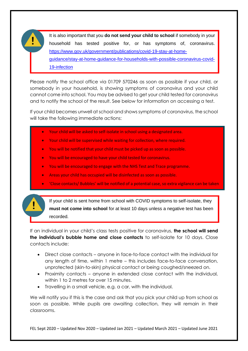It is also important that you **do not send your child to school** if somebody in your household has tested positive for, or has symptoms of, coronavirus. [https://www.gov.uk/government/publications/covid-19-stay-at-home](https://www.gov.uk/government/publications/covid-19-stay-at-home-guidance/stay-at-home-guidance-for-households-with-possible-coronavirus-covid-19-infection)[guidance/stay-at-home-guidance-for-households-with-possible-coronavirus-covid-](https://www.gov.uk/government/publications/covid-19-stay-at-home-guidance/stay-at-home-guidance-for-households-with-possible-coronavirus-covid-19-infection)[19-infection](https://www.gov.uk/government/publications/covid-19-stay-at-home-guidance/stay-at-home-guidance-for-households-with-possible-coronavirus-covid-19-infection)

Please notify the school office via 01709 570246 as soon as possible if your child, or somebody in your household, is showing symptoms of coronavirus and your child cannot come into school. You may be advised to get your child tested for coronavirus and to notify the school of the result. See [below](#page-10-0) for information on accessing a test.

If your child becomes unwell at school and shows symptoms of coronavirus, the school will take the following immediate actions:

- Your child will be asked to self-isolate in school using a designated area.
- Your child will be supervised while waiting for collection, where required.
- You will be notified that your child must be picked up as soon as possible.
- You will be encouraged to have your child tested for coronavirus.
- You will be encouraged to engage with the NHS Test and Trace programme.
- Areas your child has occupied will be disinfected as soon as possible.
- 'Close contacts/ Bubbles' will be notified of a potential case, so extra vigilance can be taken



If your child is sent home from school with COVID symptoms to self-isolate, they **must not come into school** for at least 10 days unless a negative test has been recorded.

If an individual in your child's class tests positive for coronavirus, **the school will send the individual's bubble home and close contacts** to self-isolate for 10 days. Close contacts include:

- Direct close contacts anyone in face-to-face contact with the individual for any length of time, within 1 metre – this includes face-to-face conversation, unprotected (skin-to-skin) physical contact or being coughed/sneezed on.
- Proximity contacts anyone in extended close contact with the individual, within 1 to 2 metres for over 15 minutes.
- Travelling in a small vehicle, e.g. a car, with the individual.

We will notify you if this is the case and ask that you pick your child up from school as soon as possible. While pupils are awaiting collection, they will remain in their classrooms.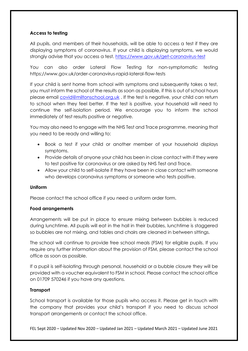#### <span id="page-10-0"></span>**Access to testing**

All pupils, and members of their households, will be able to access a test if they are displaying symptoms of coronavirus. If your child is displaying symptoms, we would strongly advise that you access a test. <https://www.gov.uk/get-coronavirus-test>

You can also order Lateral Flow Testing for non-symptomatic testing https://www.gov.uk/order-coronavirus-rapid-lateral-flow-tests

If your child is sent home from school with symptoms and subsequently takes a test, you must inform the school of the results as soon as possible, if this is out of school hours please email [covid@miltonschool.org.uk](mailto:covid@miltonschool.org.uk) . If the test is negative, your child can return to school when they feel better. If the test is positive, your household will need to continue the self-isolation period. We encourage you to inform the school immediately of test results positive or negative.

You may also need to engage with the NHS Test and Trace programme, meaning that you need to be ready and willing to:

- Book a test if your child or another member of your household displays symptoms.
- Provide details of anyone your child has been in close contact with if they were to test positive for coronavirus or are asked by NHS Test and Trace.
- <span id="page-10-1"></span>• Allow your child to self-isolate if they have been in close contact with someone who develops coronavirus symptoms or someone who tests positive.

#### **Uniform**

Please contact the school office if you need a uniform order form.

#### <span id="page-10-2"></span>**Food arrangements**

Arrangements will be put in place to ensure mixing between bubbles is reduced during lunchtime. All pupils will eat in the hall in their bubbles, lunchtime is staggered so bubbles are not mixing, and tables and chairs are cleaned in between sittings.

The school will continue to provide free school meals (FSM) for eligible pupils. If you require any further information about the provision of FSM, please contact the school office as soon as possible.

If a pupil is self-isolating through personal, household or a bubble closure they will be provided with a voucher equivalent to FSM in school. Please contact the school office on 01709 570246 if you have any questions.

#### <span id="page-10-3"></span>**Transport**

School transport is available for those pupils who access it. Please get in touch with the company that provides your child's transport if you need to discuss school transport arrangements or contact the school office.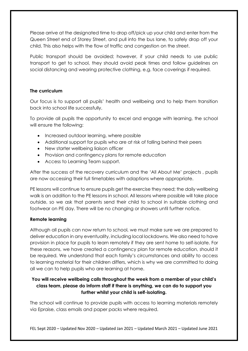Please arrive at the designated time to drop off/pick up your child and enter from the Queen Street end of Storey Street, and pull into the bus lane, to safely drop off your child. This also helps with the flow of traffic and congestion on the street.

Public transport should be avoided; however, if your child needs to use public transport to get to school, they should avoid peak times and follow guidelines on social distancing and wearing protective clothing, e.g. face coverings if required.

#### <span id="page-11-0"></span>**The curriculum**

Our focus is to support all pupils' health and wellbeing and to help them transition back into school life successfully.

To provide all pupils the opportunity to excel and engage with learning, the school will ensure the following:

- Increased outdoor learning, where possible
- Additional support for pupils who are at risk of falling behind their peers
- New starter wellbeing ligison officer
- Provision and contingency plans for remote education
- Access to Learning Team support.

After the success of the recovery curriculum and the 'All About Me' projects , pupils are now accessing their full timetables with adaptions where appropriate.

PE lessons will continue to ensure pupils get the exercise they need; the daily wellbeing walk is an addition to the PE lessons in school. All lessons where possible will take place outside, so we ask that parents send their child to school in suitable clothing and footwear on PE day. There will be no changing or showers until further notice.

#### <span id="page-11-1"></span>**Remote learning**

Although all pupils can now return to school, we must make sure we are prepared to deliver education in any eventuality, including local lockdowns. We also need to have provision in place for pupils to learn remotely if they are sent home to self-isolate. For these reasons, we have created a contingency plan for remote education, should it be required. We understand that each family's circumstances and ability to access to learning material for their children differs, which is why we are committed to doing all we can to help pupils who are learning at home.

#### **You will receive wellbeing calls throughout the week from a member of your child's class team, please do inform staff if there is anything, we can do to support you further whilst your child is self-isolating.**

The school will continue to provide pupils with access to learning materials remotely via Epraise, class emails and paper packs where required.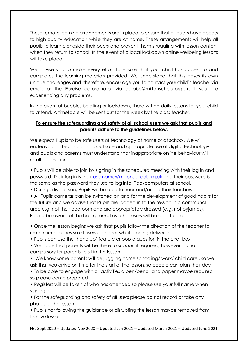These remote learning arrangements are in place to ensure that all pupils have access to high-quality education while they are at home. These arrangements will help all pupils to learn alongside their peers and prevent them struggling with lesson content when they return to school. In the event of a local lockdown online wellbeing lessons will take place.

We advise you to make every effort to ensure that your child has access to and completes the learning materials provided. We understand that this poses its own unique challenges and, therefore, encourage you to contact your child's teacher via email, or the Epraise co-ordinator via epraise@miltonschool.org.uk, if you are experiencing any problems.

In the event of bubbles isolating or lockdown, there will be daily lessons for your child to attend. A timetable will be sent out for the week by the class teacher.

#### **To ensure the safeguarding and safety of all school users we ask that pupils and parents adhere to the guidelines below.**

We expect Pupils to be safe users of technology at home or at school. We will endeavour to teach pupils about safe and appropriate use of digital technology and pupils and parents must understand that inappropriate online behaviour will result in sanctions.

• Pupils will be able to join by signing in the scheduled meeting with their log in and password. Their log in is their [username@miltonschool.org.uk](mailto:username@miltonschool.org.uk) and their password is the same as the password they use to log into iPad/computers at school.

• During a live lesson, Pupils will be able to hear and/or see their teachers.

• All Pupils cameras can be switched on and for the development of good habits for the future and we advise that Pupils are logged in to the session in a communal area e.g. not their bedroom and are appropriately dressed (e.g. not pyjamas). Please be aware of the background as other users will be able to see

• Once the lesson begins we ask that pupils follow the direction of the teacher to mute microphones so all users can hear what is being delivered.

• Pupils can use the 'hand up' feature or pop a question in the chat box.

• We hope that parents will be there to support if required, however it is not compulsory for parents to sit in the lesson.

• We know some parents will be juggling home schooling/ work/ child care , so we ask that you arrive on time for the start of the lesson, so people can plan their day

• To be able to engage with all activities a pen/pencil and paper maybe required so please come prepared

• Registers will be taken of who has attended so please use your full name when signing in.

• For the safeguarding and safety of all users please do not record or take any photos of the lesson

• Pupils not following the guidance or disrupting the lesson maybe removed from the live lesson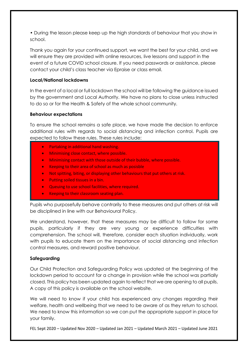• During the lesson please keep up the high standards of behaviour that you show in school.

Thank you again for your continued support, we want the best for your child, and we will ensure they are provided with online resources, live lessons and support in the event of a future COVID school closure. If you need passwords or assistance, please contact your child's class teacher via Epraise or class email.

#### <span id="page-13-0"></span>**Local/National lockdowns**

In the event of a local or full lockdown the school will be following the guidance issued by the government and Local Authority. We have no plans to close unless instructed to do so or for the Health & Safety of the whole school community.

#### <span id="page-13-1"></span>**Behaviour expectations**

To ensure the school remains a safe place, we have made the decision to enforce additional rules with regards to social distancing and infection control. Pupils are expected to follow these rules. These rules include:

- Partaking in additional hand washing.
- Minimising close contact, where possible.
- Minimising contact with those outside of their bubble, where possible.
- Keeping to their area of school as much as posisble
- Not spitting, biting, or displaying other behaviours that put others at risk.
- Putting soiled tissues in a bin.
- Queuing to use school facilities, where required.
- Keeping to their classroom seating plan.

Pupils who purposefully behave contrarily to these measures and put others at risk will be disciplined in line with our Behavioural Policy.

We understand, however, that these measures may be difficult to follow for some pupils, particularly if they are very young or experience difficulties with comprehension. The school will, therefore, consider each situation individually, work with pupils to educate them on the importance of social distancing and infection control measures, and reward positive behaviour.

#### <span id="page-13-2"></span>**Safeguarding**

Our Child Protection and Safeguarding Policy was updated at the beginning of the lockdown period to account for a change in provision while the school was partially closed. This policy has been updated again to reflect that we are opening to all pupils. A copy of this policy is available on the school website.

We will need to know if your child has experienced any changes regarding their welfare, health and wellbeing that we need to be aware of as they return to school. We need to know this information so we can put the appropriate support in place for your family.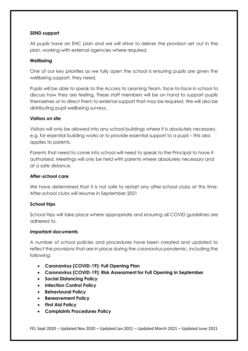#### <span id="page-14-0"></span>**SEND support**

All pupils have an EHC plan and we will strive to deliver the provision set out in the plan, working with external agencies where required.

#### **Wellbeing**

One of our key priorities as we fully open the school is ensuring pupils are given the wellbeing support, they need.

Pupils will be able to speak to the Access to Learning Team, face-to-face in school to discuss how they are feeling. These staff members will be on hand to support pupils themselves or to direct them to external support that may be required. We will also be distributing pupil wellbeing surveys.

#### <span id="page-14-1"></span>**Visitors on site**

Visitors will only be allowed into any school buildings where it is absolutely necessary, e.g. for essential building works or to provide essential support to a pupil – this also applies to parents.

Parents that need to come into school will need to speak to the Principal to have it authorised. Meetings will only be held with parents where absolutely necessary and at a safe distance.

#### <span id="page-14-2"></span>**After-school care**

We have determined that it is not safe to restart any after-school clubs at this time. After-school clubs will resume in September 2021

#### <span id="page-14-3"></span>**School trips**

School trips will take place where appropriate and ensuring all COVID guidelines are adhered to.

#### <span id="page-14-4"></span>**Important documents**

A number of school policies and procedures have been created and updated to reflect the provisions that are in place during the coronavirus pandemic, including the following:

- **Coronavirus (COVID-19): Full Opening Plan**
- **Coronavirus (COVID-19): Risk Assessment for Full Opening in September**
- **Social Distancing Policy**
- **Infection Control Policy**
- **Behavioural Policy**
- **Bereavement Policy**
- **First Aid Policy**
- **Complaints Procedures Policy**